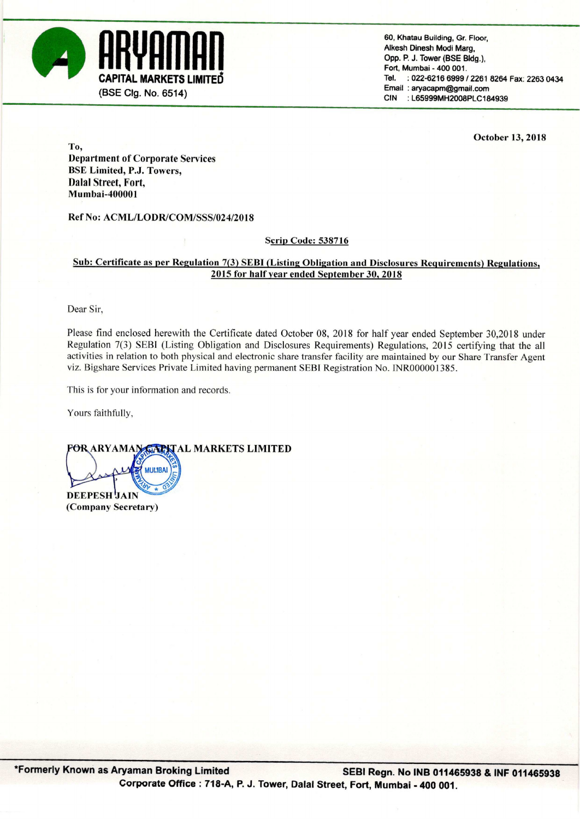

60, Khatau Building, Gr. Floor, Alkesh Dinesh Modi Marg. Opp. P. J. Tower (BSE Bldg.), Fort, Mumbai - 400 001. **CAPITAL MARKETS LIMITED**  $\begin{array}{ccc}\n\text{Tel.} & \text{1022-6216 6999 / 2261 8264 Fax: 2263 0434 \\
\text{Email: anyacapm@gmail.com}\n\end{array}$ 

October 13, 2018

To, Department of Corporate Services BSE Limited, P.J. Towers, Dalal Street, Fort, Mumbai-400001

Ref No: ACML/LODR/COM/SSS/024/2018

### Scrip Code: 538716

# Sub: Certificate as per Regulation 7(3) SEBI (Listing Obligation and Disclosures Requirements) Regulations, 2015 for half vear ended September 30, 2018

Dear Sir,

Please find enclosed herewith the Certificate dated October 08, <sup>2018</sup> for half year ended September 30,2018 under Regulation 7(3) SEBI (Listing Obligation and Disclosures Requirements) Regulations, 2015 certifying that the all activities in relation to both physical and electronic share transfer facility are maintained by our Share Transfer Agent viz. Bigshare Services Private Limited having permanent SEBl Registration No. lNR000001385.

This is for your information and records.

**MUMBAI** 

Yours faithfully,

**FOR ARYAMAN GARYAL MARKETS LIMITED** 

DEEPESH JAIN (Company Secretary)